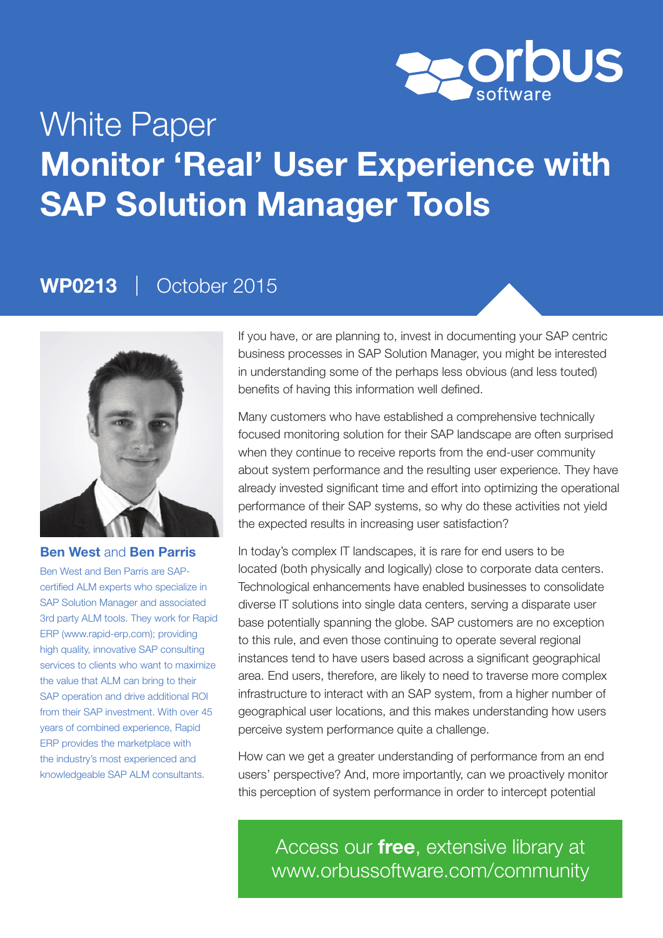

# White Paper Monitor 'Real' User Experience with SAP Solution Manager Tools

### WP0213 | October 2015



#### Ben West and Ben Parris

Ben West and Ben Parris are SAPcertified ALM experts who specialize in SAP Solution Manager and associated 3rd party ALM tools. They work for Rapid ERP (www.rapid-erp.com); providing high quality, innovative SAP consulting services to clients who want to maximize the value that ALM can bring to their SAP operation and drive additional ROI from their SAP investment. With over 45 years of combined experience, Rapid ERP provides the marketplace with the industry's most experienced and knowledgeable SAP ALM consultants.

If you have, or are planning to, invest in documenting your SAP centric business processes in SAP Solution Manager, you might be interested in understanding some of the perhaps less obvious (and less touted) benefits of having this information well defined.

Many customers who have established a comprehensive technically focused monitoring solution for their SAP landscape are often surprised when they continue to receive reports from the end-user community about system performance and the resulting user experience. They have already invested significant time and effort into optimizing the operational performance of their SAP systems, so why do these activities not yield the expected results in increasing user satisfaction?

In today's complex IT landscapes, it is rare for end users to be located (both physically and logically) close to corporate data centers. Technological enhancements have enabled businesses to consolidate diverse IT solutions into single data centers, serving a disparate user base potentially spanning the globe. SAP customers are no exception to this rule, and even those continuing to operate several regional instances tend to have users based across a significant geographical area. End users, therefore, are likely to need to traverse more complex infrastructure to interact with an SAP system, from a higher number of geographical user locations, and this makes understanding how users perceive system performance quite a challenge.

How can we get a greater understanding of performance from an end users' perspective? And, more importantly, can we proactively monitor this perception of system performance in order to intercept potential

Access our free, extensive library at <www.orbussoftware.com/community>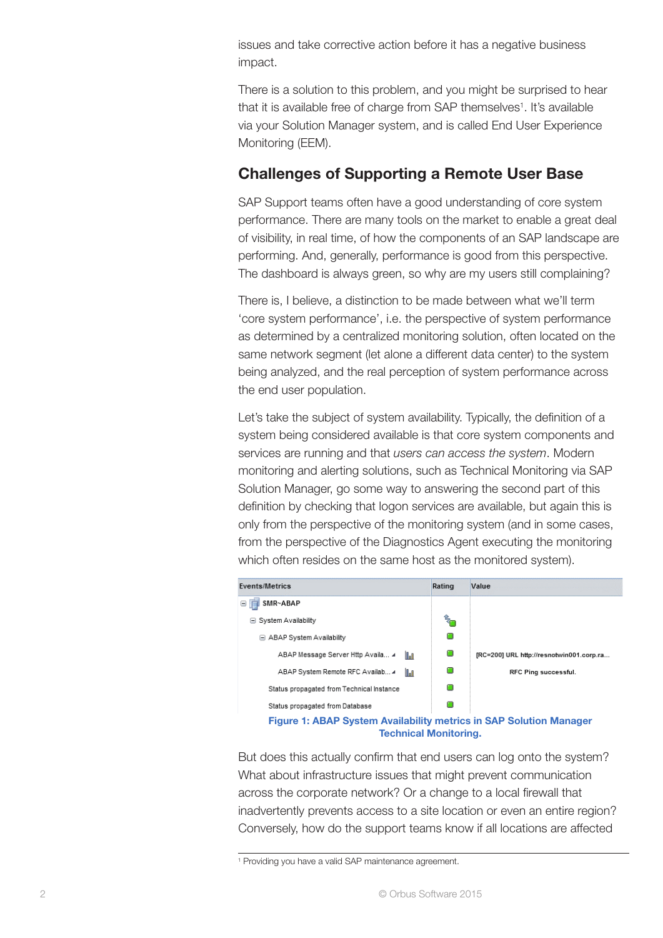issues and take corrective action before it has a negative business impact.

There is a solution to this problem, and you might be surprised to hear that it is available free of charge from SAP themselves<sup>1</sup>. It's available via your Solution Manager system, and is called End User Experience Monitoring (EEM).

#### Challenges of Supporting a Remote User Base

SAP Support teams often have a good understanding of core system performance. There are many tools on the market to enable a great deal of visibility, in real time, of how the components of an SAP landscape are performing. And, generally, performance is good from this perspective. The dashboard is always green, so why are my users still complaining?

There is, I believe, a distinction to be made between what we'll term 'core system performance', i.e. the perspective of system performance as determined by a centralized monitoring solution, often located on the same network segment (let alone a different data center) to the system being analyzed, and the real perception of system performance across the end user population.

Let's take the subject of system availability. Typically, the definition of a system being considered available is that core system components and services are running and that *users can access the system*. Modern monitoring and alerting solutions, such as Technical Monitoring via SAP Solution Manager, go some way to answering the second part of this definition by checking that logon services are available, but again this is only from the perspective of the monitoring system (and in some cases, from the perspective of the Diagnostics Agent executing the monitoring which often resides on the same host as the monitored system).



But does this actually confirm that end users can log onto the system? What about infrastructure issues that might prevent communication across the corporate network? Or a change to a local firewall that inadvertently prevents access to a site location or even an entire region? Conversely, how do the support teams know if all locations are affected

<sup>1</sup> Providing you have a valid SAP maintenance agreement.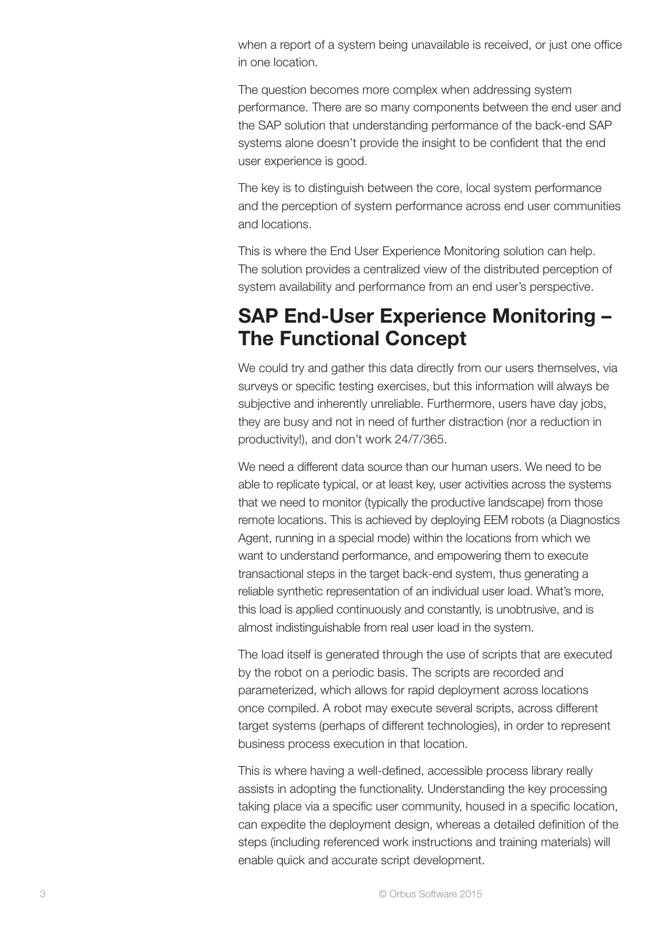when a report of a system being unavailable is received, or just one office in one location.

The question becomes more complex when addressing system performance. There are so many components between the end user and the SAP solution that understanding performance of the back-end SAP systems alone doesn't provide the insight to be confident that the end user experience is good.

The key is to distinguish between the core, local system performance and the perception of system performance across end user communities and locations.

This is where the End User Experience Monitoring solution can help. The solution provides a centralized view of the distributed perception of system availability and performance from an end user's perspective.

### SAP End-User Experience Monitoring – The Functional Concept

We could try and gather this data directly from our users themselves, via surveys or specific testing exercises, but this information will always be subjective and inherently unreliable. Furthermore, users have day jobs, they are busy and not in need of further distraction (nor a reduction in productivity!), and don't work 24/7/365.

We need a different data source than our human users. We need to be able to replicate typical, or at least key, user activities across the systems that we need to monitor (typically the productive landscape) from those remote locations. This is achieved by deploying EEM robots (a Diagnostics Agent, running in a special mode) within the locations from which we want to understand performance, and empowering them to execute transactional steps in the target back-end system, thus generating a reliable synthetic representation of an individual user load. What's more, this load is applied continuously and constantly, is unobtrusive, and is almost indistinguishable from real user load in the system.

The load itself is generated through the use of scripts that are executed by the robot on a periodic basis. The scripts are recorded and parameterized, which allows for rapid deployment across locations once compiled. A robot may execute several scripts, across different target systems (perhaps of different technologies), in order to represent business process execution in that location.

This is where having a well-defined, accessible process library really assists in adopting the functionality. Understanding the key processing taking place via a specific user community, housed in a specific location, can expedite the deployment design, whereas a detailed definition of the steps (including referenced work instructions and training materials) will enable quick and accurate script development.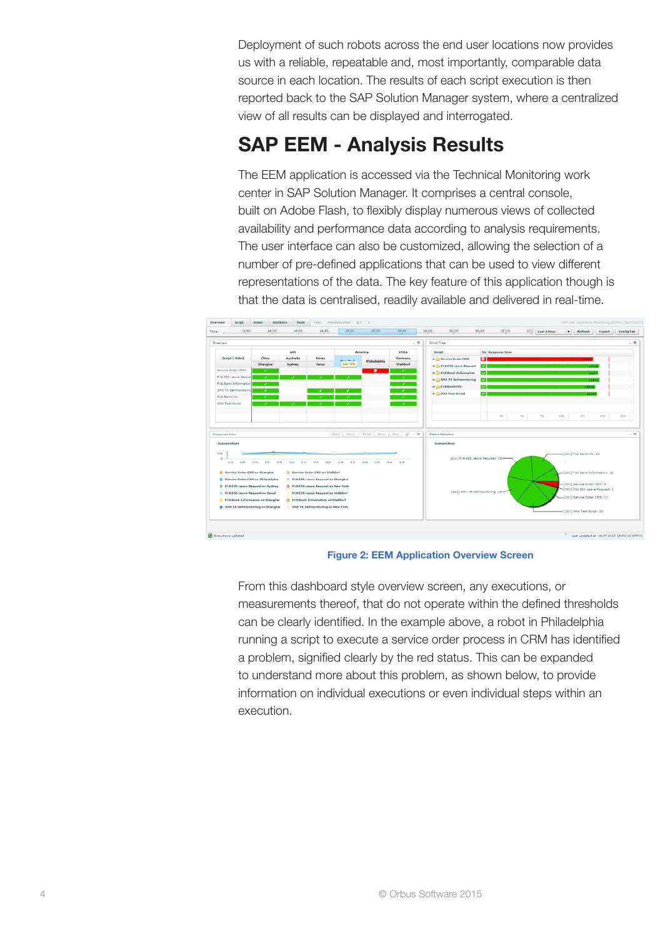Deployment of such robots across the end user locations now provides us with a reliable, repeatable and, most importantly, comparable data source in each location. The results of each script execution is then reported back to the SAP Solution Manager system, where a centralized view of all results can be displayed and interrogated.

## SAP EEM - Analysis Results

The EEM application is accessed via the Technical Monitoring work center in SAP Solution Manager. It comprises a central console, built on Adobe Flash, to flexibly display numerous views of collected availability and performance data according to analysis requirements. The user interface can also be customized, allowing the selection of a number of pre-defined applications that can be used to view different representations of the data. The key feature of this application though is that the data is centralised, readily available and delivered in real-time.



Figure 2: EEM Application Overview Screen

From this dashboard style overview screen, any executions, or measurements thereof, that do not operate within the defined thresholds can be clearly identified. In the example above, a robot in Philadelphia running a script to execute a service order process in CRM has identified a problem, signified clearly by the red status. This can be expanded to understand more about this problem, as shown below, to provide information on individual executions or even individual steps within an execution.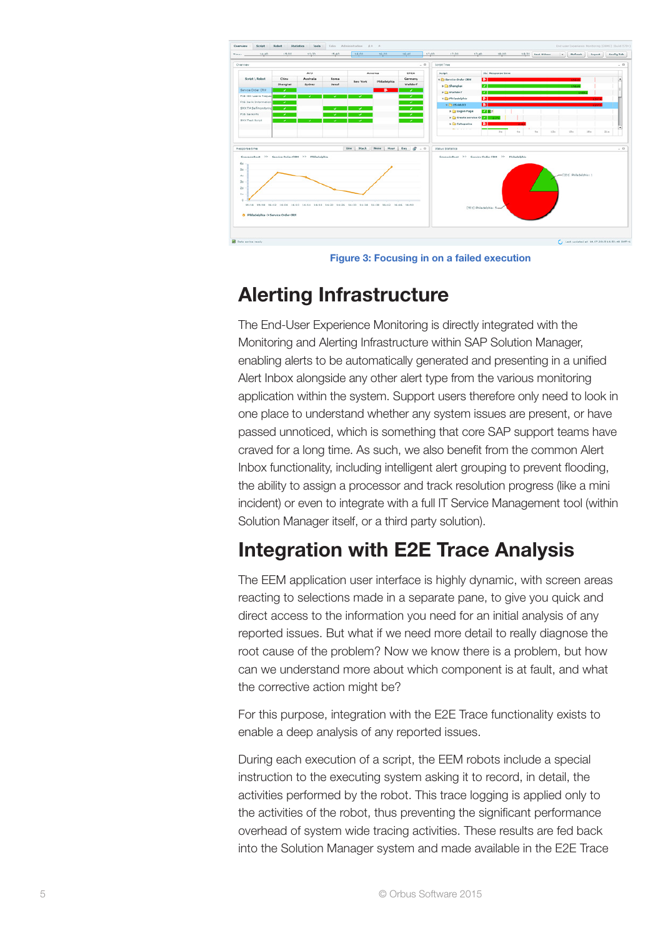

Figure 3: Focusing in on a failed execution

#### Alerting Infrastructure

The End-User Experience Monitoring is directly integrated with the Monitoring and Alerting Infrastructure within SAP Solution Manager, enabling alerts to be automatically generated and presenting in a unified Alert Inbox alongside any other alert type from the various monitoring application within the system. Support users therefore only need to look in one place to understand whether any system issues are present, or have passed unnoticed, which is something that core SAP support teams have craved for a long time. As such, we also benefit from the common Alert Inbox functionality, including intelligent alert grouping to prevent flooding, the ability to assign a processor and track resolution progress (like a mini incident) or even to integrate with a full IT Service Management tool (within Solution Manager itself, or a third party solution).

### Integration with E2E Trace Analysis

The EEM application user interface is highly dynamic, with screen areas reacting to selections made in a separate pane, to give you quick and direct access to the information you need for an initial analysis of any reported issues. But what if we need more detail to really diagnose the root cause of the problem? Now we know there is a problem, but how can we understand more about which component is at fault, and what the corrective action might be?

For this purpose, integration with the E2E Trace functionality exists to enable a deep analysis of any reported issues.

During each execution of a script, the EEM robots include a special instruction to the executing system asking it to record, in detail, the activities performed by the robot. This trace logging is applied only to the activities of the robot, thus preventing the significant performance overhead of system wide tracing activities. These results are fed back into the Solution Manager system and made available in the E2E Trace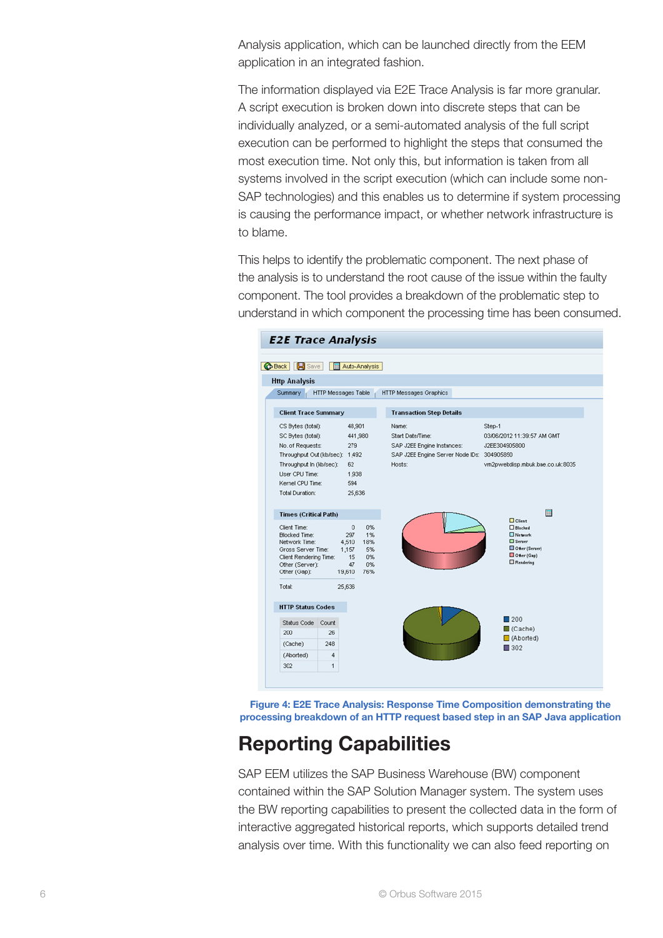Analysis application, which can be launched directly from the EEM application in an integrated fashion.

The information displayed via E2E Trace Analysis is far more granular. A script execution is broken down into discrete steps that can be individually analyzed, or a semi-automated analysis of the full script execution can be performed to highlight the steps that consumed the most execution time. Not only this, but information is taken from all systems involved in the script execution (which can include some non-SAP technologies) and this enables us to determine if system processing is causing the performance impact, or whether network infrastructure is to blame.

This helps to identify the problematic component. The next phase of the analysis is to understand the root cause of the issue within the faulty component. The tool provides a breakdown of the problematic step to understand in which component the processing time has been consumed.



 processing breakdown of an HTTP request based step in an SAP Java applicationFigure 4: E2E Trace Analysis: Response Time Composition demonstrating the

### Reporting Capabilities

SAP EEM utilizes the SAP Business Warehouse (BW) component contained within the SAP Solution Manager system. The system uses the BW reporting capabilities to present the collected data in the form of interactive aggregated historical reports, which supports detailed trend analysis over time. With this functionality we can also feed reporting on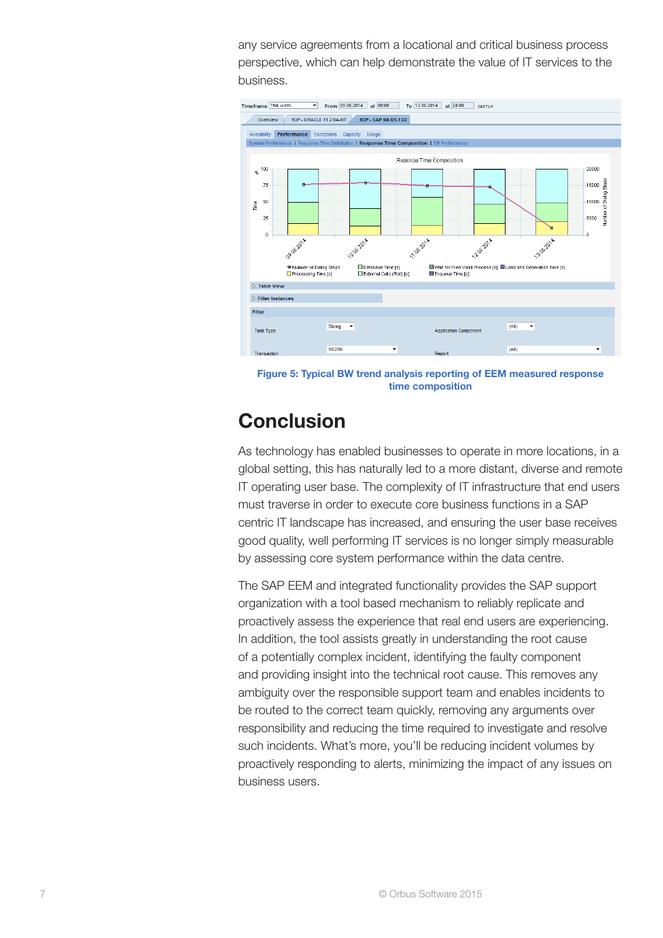any service agreements from a locational and critical business process perspective, which can help demonstrate the value of IT services to the business.



Figure 5: Typical BW trend analysis reporting of EEM measured response time composition

### **Conclusion**

As technology has enabled businesses to operate in more locations, in a global setting, this has naturally led to a more distant, diverse and remote IT operating user base. The complexity of IT infrastructure that end users must traverse in order to execute core business functions in a SAP centric IT landscape has increased, and ensuring the user base receives good quality, well performing IT services is no longer simply measurable by assessing core system performance within the data centre.

The SAP EEM and integrated functionality provides the SAP support organization with a tool based mechanism to reliably replicate and proactively assess the experience that real end users are experiencing. In addition, the tool assists greatly in understanding the root cause of a potentially complex incident, identifying the faulty component and providing insight into the technical root cause. This removes any ambiguity over the responsible support team and enables incidents to be routed to the correct team quickly, removing any arguments over responsibility and reducing the time required to investigate and resolve such incidents. What's more, you'll be reducing incident volumes by proactively responding to alerts, minimizing the impact of any issues on business users.